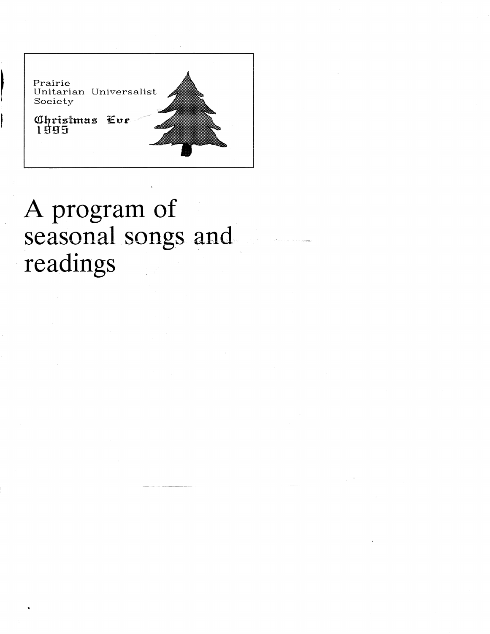

I

## A program of seasonal songs and . readings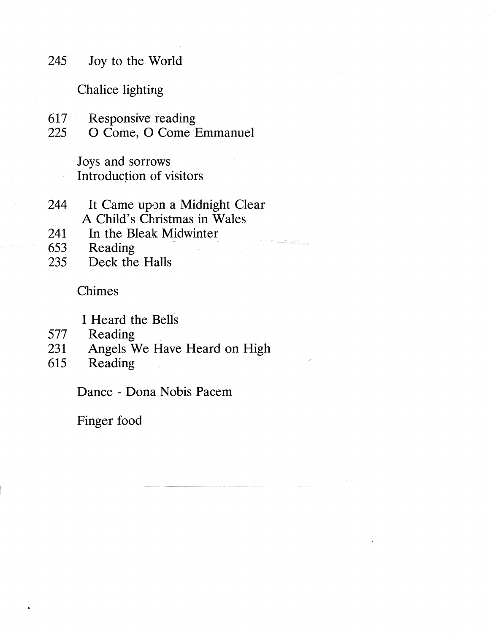245 Joy to the World

Chalice lighting

- 617 Responsive reading<br>225 O Come, O Come 1
- O Come, O Come Emmanuel

Joys and sorrows Introduction of visitors

- 244 It Came upon a Midnight Clear A Child's Christmas in Wales
- 241 In the Bleak Midwinter
- 653 Reading
- 235 Deck the Halls

Chimes

I Heard the Bells

- 577 Reading
- 231 Angels We Have Heard on High
- 615 Reading

Dance - Dona Nobis Pacem

---------------------------

Finger food